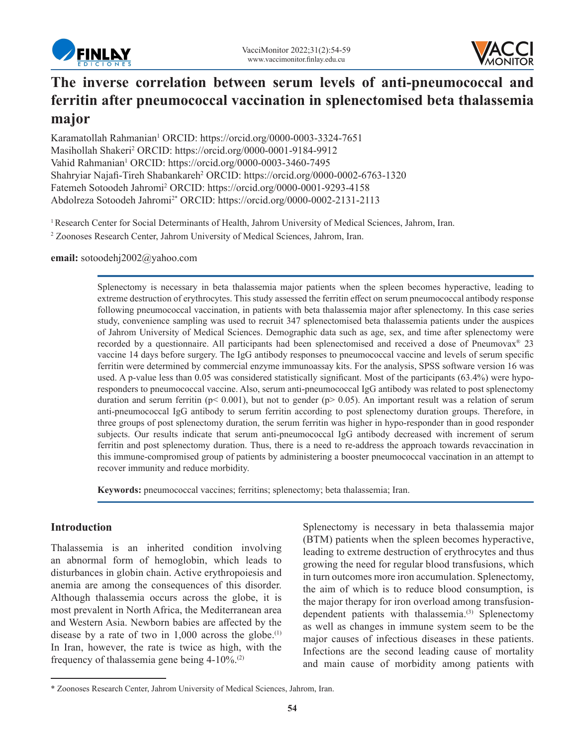



# **The inverse correlation between serum levels of anti-pneumococcal and ferritin after pneumococcal vaccination in splenectomised beta thalassemia major**

Karamatollah Rahmanian<sup>1</sup> ORCID: https://orcid.org/0000-0003-3324-7651 Masihollah Shakeri<sup>2</sup> ORCID: https://orcid.org/0000-0001-9184-9912 Vahid Rahmanian<sup>1</sup> ORCID: https://orcid.org/0000-0003-3460-7495 Shahryiar Najafi-Tireh Shabankareh<sup>2</sup> ORCID: https://orcid.org/0000-0002-6763-1320 Fatemeh Sotoodeh Jahromi<sup>2</sup> ORCID: https://orcid.org/0000-0001-9293-4158 Abdolreza Sotoodeh Jahromi2\* ORCID: https://orcid.org/0000-0002-2131-2113

<sup>1</sup> Research Center for Social Determinants of Health, Jahrom University of Medical Sciences, Jahrom, Iran.

2 Zoonoses Research Center, Jahrom University of Medical Sciences, Jahrom, Iran.

**email:** sotoodehj2002@yahoo.com

Splenectomy is necessary in beta thalassemia major patients when the spleen becomes hyperactive, leading to extreme destruction of erythrocytes. This study assessed the ferritin effect on serum pneumococcal antibody response following pneumococcal vaccination, in patients with beta thalassemia major after splenectomy. In this case series study, convenience sampling was used to recruit 347 splenectomised beta thalassemia patients under the auspices of Jahrom University of Medical Sciences. Demographic data such as age, sex, and time after splenectomy were recorded by a questionnaire. All participants had been splenectomised and received a dose of Pneumovax® 23 vaccine 14 days before surgery. The IgG antibody responses to pneumococcal vaccine and levels of serum specific ferritin were determined by commercial enzyme immunoassay kits. For the analysis, SPSS software version 16 was used. A p-value less than 0.05 was considered statistically significant. Most of the participants (63.4%) were hyporesponders to pneumococcal vaccine. Also, serum anti-pneumococcal IgG antibody was related to post splenectomy duration and serum ferritin ( $p < 0.001$ ), but not to gender ( $p > 0.05$ ). An important result was a relation of serum anti-pneumococcal IgG antibody to serum ferritin according to post splenectomy duration groups. Therefore, in three groups of post splenectomy duration, the serum ferritin was higher in hypo-responder than in good responder subjects. Our results indicate that serum anti-pneumococcal IgG antibody decreased with increment of serum ferritin and post splenectomy duration. Thus, there is a need to re-address the approach towards revaccination in this immune-compromised group of patients by administering a booster pneumococcal vaccination in an attempt to recover immunity and reduce morbidity.

**Keywords:** pneumococcal vaccines; ferritins; splenectomy; beta thalassemia; Iran.

# **Introduction**

Thalassemia is an inherited condition involving an abnormal form of hemoglobin, which leads to disturbances in globin chain. Active erythropoiesis and anemia are among the consequences of this disorder. Although thalassemia occurs across the globe, it is most prevalent in North Africa, the Mediterranean area and Western Asia. Newborn babies are affected by the disease by a rate of two in  $1,000$  across the globe.<sup>(1)</sup> In Iran, however, the rate is twice as high, with the frequency of thalassemia gene being 4-10%.(2)

Splenectomy is necessary in beta thalassemia major (BTM) patients when the spleen becomes hyperactive, leading to extreme destruction of erythrocytes and thus growing the need for regular blood transfusions, which in turn outcomes more iron accumulation. Splenectomy, the aim of which is to reduce blood consumption, is the major therapy for iron overload among transfusiondependent patients with thalassemia.<sup>(3)</sup> Splenectomy as well as changes in immune system seem to be the major causes of infectious diseases in these patients. Infections are the second leading cause of mortality and main cause of morbidity among patients with

<sup>\*</sup> Zoonoses Research Center, Jahrom University of Medical Sciences, Jahrom, Iran.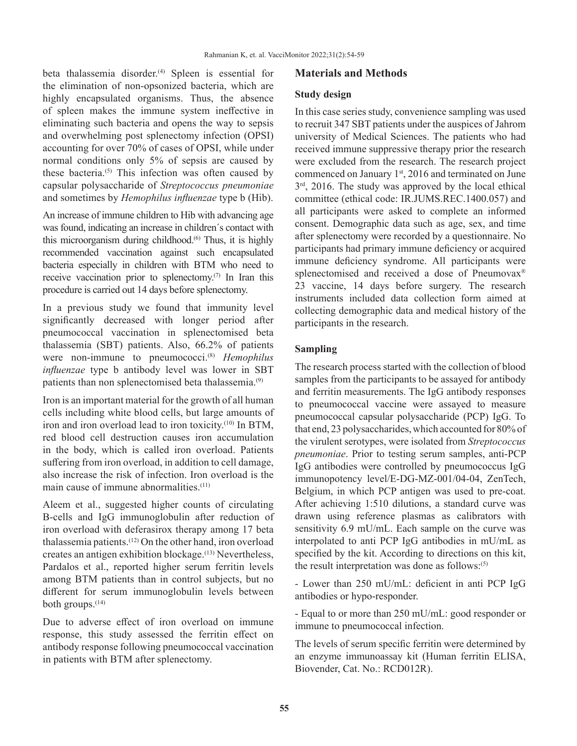beta thalassemia disorder.<sup>(4)</sup> Spleen is essential for the elimination of non-opsonized bacteria, which are highly encapsulated organisms. Thus, the absence of spleen makes the immune system ineffective in eliminating such bacteria and opens the way to sepsis and overwhelming post splenectomy infection (OPSI) accounting for over 70% of cases of OPSI, while under normal conditions only 5% of sepsis are caused by these bacteria.<sup>(5)</sup> This infection was often caused by capsular polysaccharide of *Streptococcus pneumoniae* and sometimes by *Hemophilus influenzae* type b (Hib).

An increase of immune children to Hib with advancing age was found, indicating an increase in children´s contact with this microorganism during childhood.(6) Thus, it is highly recommended vaccination against such encapsulated bacteria especially in children with BTM who need to receive vaccination prior to splenectomy. $(7)$  In Iran this procedure is carried out 14 days before splenectomy.

In a previous study we found that immunity level significantly decreased with longer period after pneumococcal vaccination in splenectomised beta thalassemia (SBT) patients. Also, 66.2% of patients were non-immune to pneumococci.(8) *Hemophilus influenzae* type b antibody level was lower in SBT patients than non splenectomised beta thalassemia.<sup>(9)</sup>

Iron is an important material for the growth of all human cells including white blood cells, but large amounts of iron and iron overload lead to iron toxicity.<sup>(10)</sup> In BTM, red blood cell destruction causes iron accumulation in the body, which is called iron overload. Patients suffering from iron overload, in addition to cell damage, also increase the risk of infection. Iron overload is the main cause of immune abnormalities.<sup>(11)</sup>

Aleem et al., suggested higher counts of circulating B-cells and IgG immunoglobulin after reduction of iron overload with deferasirox therapy among 17 beta thalassemia patients.(12) On the other hand, iron overload creates an antigen exhibition blockage.(13) Nevertheless, Pardalos et al., reported higher serum ferritin levels among BTM patients than in control subjects, but no different for serum immunoglobulin levels between both groups. $(14)$ 

Due to adverse effect of iron overload on immune response, this study assessed the ferritin effect on antibody response following pneumococcal vaccination in patients with BTM after splenectomy.

# **Materials and Methods**

### **Study design**

In this case series study, convenience sampling was used to recruit 347 SBT patients under the auspices of Jahrom university of Medical Sciences. The patients who had received immune suppressive therapy prior the research were excluded from the research. The research project commenced on January 1<sup>st</sup>, 2016 and terminated on June  $3<sup>rd</sup>$ , 2016. The study was approved by the local ethical committee (ethical code: IR.JUMS.REC.1400.057) and all participants were asked to complete an informed consent. Demographic data such as age, sex, and time after splenectomy were recorded by a questionnaire. No participants had primary immune deficiency or acquired immune deficiency syndrome. All participants were splenectomised and received a dose of Pneumovax® 23 vaccine, 14 days before surgery. The research instruments included data collection form aimed at collecting demographic data and medical history of the participants in the research.

## **Sampling**

The research process started with the collection of blood samples from the participants to be assayed for antibody and ferritin measurements. The IgG antibody responses to pneumococcal vaccine were assayed to measure pneumococcal capsular polysaccharide (PCP) IgG. To that end, 23 polysaccharides, which accounted for 80% of the virulent serotypes, were isolated from *Streptococcus pneumoniae*. Prior to testing serum samples, anti-PCP IgG antibodies were controlled by pneumococcus IgG immunopotency level/E-DG-MZ-001/04-04, ZenTech, Belgium, in which PCP antigen was used to pre-coat. After achieving 1:510 dilutions, a standard curve was drawn using reference plasmas as calibrators with sensitivity 6.9 mU/mL. Each sample on the curve was interpolated to anti PCP IgG antibodies in mU/mL as specified by the kit. According to directions on this kit, the result interpretation was done as follows: $(5)$ 

- Lower than 250 mU/mL: deficient in anti PCP IgG antibodies or hypo-responder.

- Equal to or more than 250 mU/mL: good responder or immune to pneumococcal infection.

The levels of serum specific ferritin were determined by an enzyme immunoassay kit (Human ferritin ELISA, Biovender, Cat. No.: RCD012R).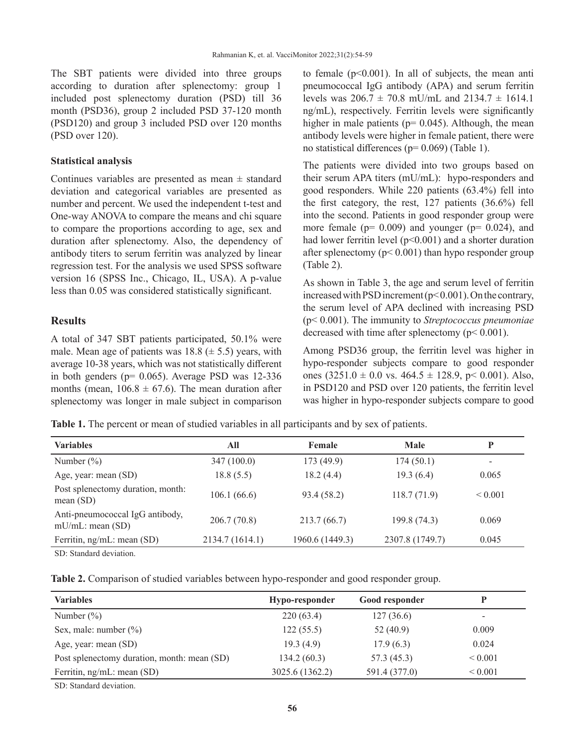The SBT patients were divided into three groups according to duration after splenectomy: group 1 included post splenectomy duration (PSD) till 36 month (PSD36), group 2 included PSD 37-120 month (PSD120) and group 3 included PSD over 120 months (PSD over 120).

#### **Statistical analysis**

Continues variables are presented as mean  $\pm$  standard deviation and categorical variables are presented as number and percent. We used the independent t-test and One-way ANOVA to compare the means and chi square to compare the proportions according to age, sex and duration after splenectomy. Also, the dependency of antibody titers to serum ferritin was analyzed by linear regression test. For the analysis we used SPSS software version 16 (SPSS Inc., Chicago, IL, USA). A p-value less than 0.05 was considered statistically significant.

#### **Results**

A total of 347 SBT patients participated, 50.1% were male. Mean age of patients was  $18.8 \ (\pm 5.5)$  years, with average 10-38 years, which was not statistically different in both genders ( $p= 0.065$ ). Average PSD was 12-336 months (mean,  $106.8 \pm 67.6$ ). The mean duration after splenectomy was longer in male subject in comparison to female  $(p<0.001)$ . In all of subjects, the mean anti pneumococcal IgG antibody (APA) and serum ferritin levels was  $206.7 \pm 70.8$  mU/mL and  $2134.7 \pm 1614.1$ ng/mL), respectively. Ferritin levels were significantly higher in male patients ( $p= 0.045$ ). Although, the mean antibody levels were higher in female patient, there were no statistical differences ( $p= 0.069$ ) (Table 1).

The patients were divided into two groups based on their serum APA titers (mU/mL): hypo-responders and good responders. While 220 patients (63.4%) fell into the first category, the rest, 127 patients (36.6%) fell into the second. Patients in good responder group were more female ( $p= 0.009$ ) and younger ( $p= 0.024$ ), and had lower ferritin level  $(p<0.001)$  and a shorter duration after splenectomy ( $p < 0.001$ ) than hypo responder group (Table 2).

As shown in Table 3, the age and serum level of ferritin increased with PSD increment (p< 0.001). On the contrary, the serum level of APA declined with increasing PSD (p< 0.001). The immunity to *Streptococcus pneumoniae* decreased with time after splenectomy (p< 0.001).

Among PSD36 group, the ferritin level was higher in hypo-responder subjects compare to good responder ones  $(3251.0 \pm 0.0 \text{ vs. } 464.5 \pm 128.9, \text{ p} < 0.001)$ . Also, in PSD120 and PSD over 120 patients, the ferritin level was higher in hypo-responder subjects compare to good

**Table 1.** The percent or mean of studied variables in all participants and by sex of patients.

| <b>Variables</b>                                       | All             | Female          | <b>Male</b>     | D            |
|--------------------------------------------------------|-----------------|-----------------|-----------------|--------------|
| Number $(\%)$                                          | 347 (100.0)     | 173 (49.9)      | 174(50.1)       |              |
| Age, year: mean (SD)                                   | 18.8(5.5)       | 18.2(4.4)       | 19.3(6.4)       | 0.065        |
| Post splenectomy duration, month:<br>mean $(SD)$       | 106.1(66.6)     | 93.4 (58.2)     | 118.7(71.9)     | ${}_{0.001}$ |
| Anti-pneumococcal IgG antibody,<br>$mU/mL$ : mean (SD) | 206.7(70.8)     | 213.7(66.7)     | 199.8 (74.3)    | 0.069        |
| Ferritin, ng/mL: mean (SD)                             | 2134.7 (1614.1) | 1960.6 (1449.3) | 2307.8 (1749.7) | 0.045        |
| SD: Standard deviation.                                |                 |                 |                 |              |

|  | Table 2. Comparison of studied variables between hypo-responder and good responder group. |  |
|--|-------------------------------------------------------------------------------------------|--|
|--|-------------------------------------------------------------------------------------------|--|

| <b>Variables</b>                            | Hypo-responder  | Good responder | D            |
|---------------------------------------------|-----------------|----------------|--------------|
| Number $(\%)$                               | 220(63.4)       | 127(36.6)      | -            |
| Sex, male: number $(\%)$                    | 122(55.5)       | 52(40.9)       | 0.009        |
| Age, year: mean (SD)                        | 19.3(4.9)       | 17.9(6.3)      | 0.024        |
| Post splenectomy duration, month: mean (SD) | 134.2(60.3)     | 57.3(45.3)     | ${}< 0.001$  |
| Ferritin, ng/mL: mean (SD)                  | 3025.6 (1362.2) | 591.4 (377.0)  | ${}_{0.001}$ |

SD: Standard deviation.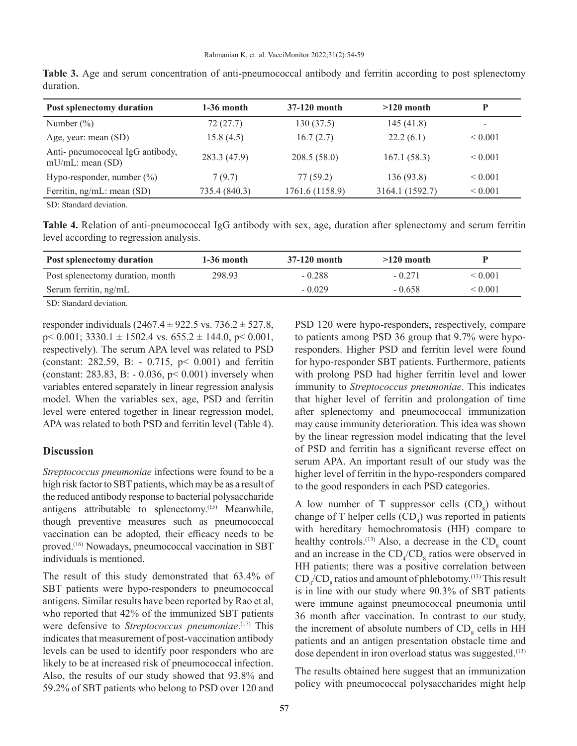| Post splenectomy duration                               | $1-36$ month  | 37-120 month    | $>120$ month    |              |
|---------------------------------------------------------|---------------|-----------------|-----------------|--------------|
| Number $(\%)$                                           | 72(27.7)      | 130(37.5)       | 145(41.8)       |              |
| Age, year: mean (SD)                                    | 15.8(4.5)     | 16.7(2.7)       | 22.2(6.1)       | ${}_{0.001}$ |
| Anti-pneumococcal IgG antibody,<br>$mU/mL$ : mean (SD)  | 283.3 (47.9)  | 208.5(58.0)     | 167.1(58.3)     | ${}< 0.001$  |
| Hypo-responder, number $(\%)$                           | 7(9.7)        | 77(59.2)        | 136 (93.8)      | ${}< 0.001$  |
| Ferritin, ng/mL: mean (SD)                              | 735.4 (840.3) | 1761.6 (1158.9) | 3164.1 (1592.7) | ${}< 0.001$  |
| $\sim$ $\sim$ $\sim$ $\sim$ $\sim$ $\sim$ $\sim$ $\sim$ |               |                 |                 |              |

**Table 3.** Age and serum concentration of anti-pneumococcal antibody and ferritin according to post splenectomy duration.

SD: Standard deviation.

**Table 4.** Relation of anti-pneumococcal IgG antibody with sex, age, duration after splenectomy and serum ferritin level according to regression analysis.

| <b>Post splenectomy duration</b> | $1-36$ month | 37-120 month | $>120$ month |              |
|----------------------------------|--------------|--------------|--------------|--------------|
| Post splenectomy duration, month | 298.93       | $-0.288$     | $-0.271$     | ${}_{0.001}$ |
| Serum ferritin, ng/mL            |              | $-0.029$     | $-0.658$     | ${}_{0.001}$ |
| ___ _ _ _ _ _                    |              |              |              |              |

SD: Standard deviation.

responder individuals  $(2467.4 \pm 922.5 \text{ vs. } 736.2 \pm 527.8,$  $p$  < 0.001; 3330.1  $\pm$  1502.4 vs. 655.2  $\pm$  144.0,  $p$  < 0.001, respectively). The serum APA level was related to PSD (constant: 282.59, B: - 0.715, p< 0.001) and ferritin (constant: 283.83, B: - 0.036, p< 0.001) inversely when variables entered separately in linear regression analysis model. When the variables sex, age, PSD and ferritin level were entered together in linear regression model, APA was related to both PSD and ferritin level (Table 4).

#### **Discussion**

*Streptococcus pneumoniae* infections were found to be a high risk factor to SBT patients, which may be as a result of the reduced antibody response to bacterial polysaccharide antigens attributable to splenectomy.<sup>(15)</sup> Meanwhile, though preventive measures such as pneumococcal vaccination can be adopted, their efficacy needs to be proved.(16) Nowadays, pneumococcal vaccination in SBT individuals is mentioned.

The result of this study demonstrated that 63.4% of SBT patients were hypo-responders to pneumococcal antigens. Similar results have been reported by Rao et al, who reported that 42% of the immunized SBT patients were defensive to *Streptococcus pneumoniae*.<sup>(17)</sup> This indicates that measurement of post-vaccination antibody levels can be used to identify poor responders who are likely to be at increased risk of pneumococcal infection. Also, the results of our study showed that 93.8% and 59.2% of SBT patients who belong to PSD over 120 and

PSD 120 were hypo-responders, respectively, compare to patients among PSD 36 group that 9.7% were hyporesponders. Higher PSD and ferritin level were found for hypo-responder SBT patients. Furthermore, patients with prolong PSD had higher ferritin level and lower immunity to *Streptococcus pneumoniae*. This indicates that higher level of ferritin and prolongation of time after splenectomy and pneumococcal immunization may cause immunity deterioration. This idea was shown by the linear regression model indicating that the level of PSD and ferritin has a significant reverse effect on serum APA. An important result of our study was the higher level of ferritin in the hypo-responders compared to the good responders in each PSD categories.

A low number of T suppressor cells  $(CD_8)$  without change of T helper cells  $(CD_4)$  was reported in patients with hereditary hemochromatosis (HH) compare to healthy controls.<sup>(13)</sup> Also, a decrease in the  $CD_8$  count and an increase in the  $CD_4/CD_8$  ratios were observed in HH patients; there was a positive correlation between  $CD_4/CD_8$  ratios and amount of phlebotomy.<sup>(13)</sup> This result is in line with our study where 90.3% of SBT patients were immune against pneumococcal pneumonia until 36 month after vaccination. In contrast to our study, the increment of absolute numbers of  $CD<sub>8</sub>$  cells in HH patients and an antigen presentation obstacle time and dose dependent in iron overload status was suggested.(13)

The results obtained here suggest that an immunization policy with pneumococcal polysaccharides might help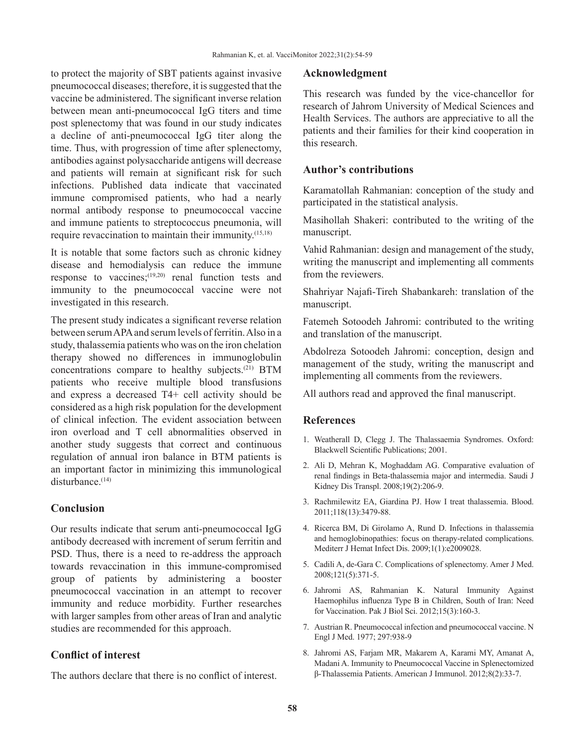to protect the majority of SBT patients against invasive pneumococcal diseases; therefore, it is suggested that the vaccine be administered. The significant inverse relation between mean anti-pneumococcal IgG titers and time post splenectomy that was found in our study indicates a decline of anti-pneumococcal IgG titer along the time. Thus, with progression of time after splenectomy, antibodies against polysaccharide antigens will decrease and patients will remain at significant risk for such infections. Published data indicate that vaccinated immune compromised patients, who had a nearly normal antibody response to pneumococcal vaccine and immune patients to streptococcus pneumonia, will require revaccination to maintain their immunity.(15,18)

It is notable that some factors such as chronic kidney disease and hemodialysis can reduce the immune response to vaccines;<sup>(19,20)</sup> renal function tests and immunity to the pneumococcal vaccine were not investigated in this research.

The present study indicates a significant reverse relation between serum APA and serum levels of ferritin. Also in a study, thalassemia patients who was on the iron chelation therapy showed no differences in immunoglobulin concentrations compare to healthy subjects.(21) BTM patients who receive multiple blood transfusions and express a decreased T4+ cell activity should be considered as a high risk population for the development of clinical infection. The evident association between iron overload and T cell abnormalities observed in another study suggests that correct and continuous regulation of annual iron balance in BTM patients is an important factor in minimizing this immunological disturbance.<sup>(14)</sup>

#### **Conclusion**

Our results indicate that serum anti-pneumococcal IgG antibody decreased with increment of serum ferritin and PSD. Thus, there is a need to re-address the approach towards revaccination in this immune-compromised group of patients by administering a booster pneumococcal vaccination in an attempt to recover immunity and reduce morbidity. Further researches with larger samples from other areas of Iran and analytic studies are recommended for this approach.

# **Conflict of interest**

The authors declare that there is no conflict of interest.

#### **Acknowledgment**

This research was funded by the vice-chancellor for research of Jahrom University of Medical Sciences and Health Services. The authors are appreciative to all the patients and their families for their kind cooperation in this research.

## **Author's contributions**

Karamatollah Rahmanian: conception of the study and participated in the statistical analysis.

Masihollah Shakeri: contributed to the writing of the manuscript.

Vahid Rahmanian: design and management of the study, writing the manuscript and implementing all comments from the reviewers.

Shahriyar Najafi-Tireh Shabankareh: translation of the manuscript.

Fatemeh Sotoodeh Jahromi: contributed to the writing and translation of the manuscript.

Abdolreza Sotoodeh Jahromi: conception, design and management of the study, writing the manuscript and implementing all comments from the reviewers.

All authors read and approved the final manuscript.

# **References**

- 1. Weatherall D, Clegg J. The Thalassaemia Syndromes. Oxford: Blackwell Scientific Publications; 2001.
- 2. Ali D, Mehran K, Moghaddam AG. Comparative evaluation of renal findings in Beta-thalassemia major and intermedia. Saudi J Kidney Dis Transpl. 2008;19(2):206-9.
- 3. Rachmilewitz EA, Giardina PJ. How I treat thalassemia. Blood. 2011;118(13):3479-88.
- 4. Ricerca BM, Di Girolamo A, Rund D. Infections in thalassemia and hemoglobinopathies: focus on therapy-related complications. Mediterr J Hemat Infect Dis. 2009;1(1):e2009028.
- 5. Cadili A, de-Gara C. Complications of splenectomy. Amer J Med. 2008;121(5):371-5.
- 6. Jahromi AS, Rahmanian K. Natural Immunity Against Haemophilus influenza Type B in Children, South of Iran: Need for Vaccination. Pak J Biol Sci. 2012;15(3):160-3.
- 7. Austrian R. Pneumococcal infection and pneumococcal vaccine. N Engl J Med. 1977; 297:938-9
- 8. Jahromi AS, Farjam MR, Makarem A, Karami MY, Amanat A, Madani A. Immunity to Pneumococcal Vaccine in Splenectomized β-Thalassemia Patients. American J Immunol. 2012;8(2):33-7.